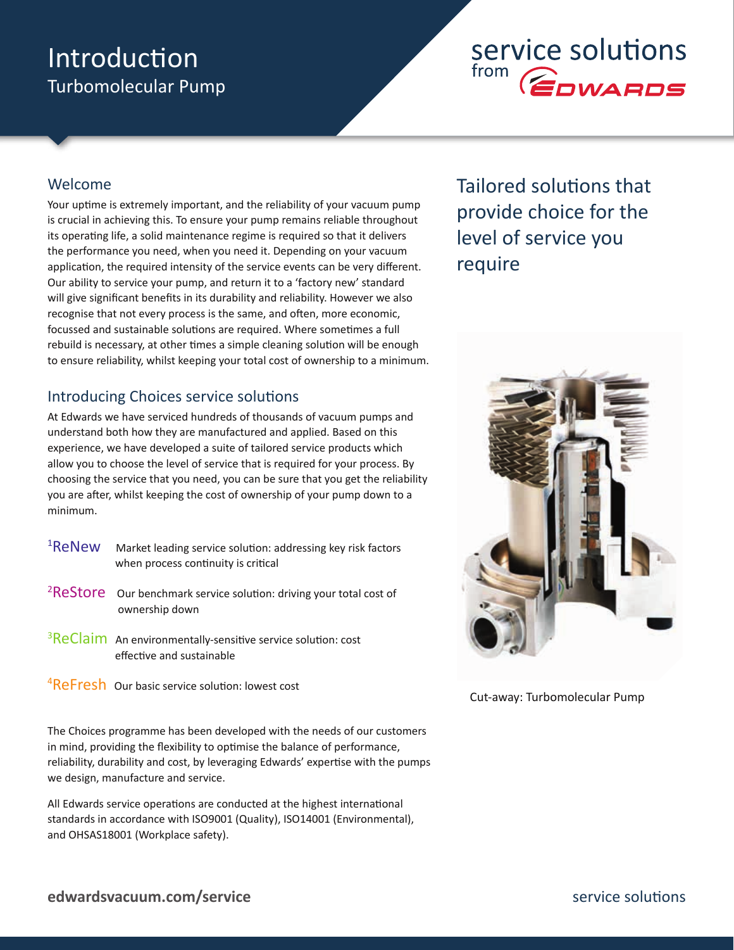### Introduction Turbomolecular Pump

## service solutions from **COWARDS**

#### Welcome

Your uptime is extremely important, and the reliability of your vacuum pump is crucial in achieving this. To ensure your pump remains reliable throughout its operating life, a solid maintenance regime is required so that it delivers the performance you need, when you need it. Depending on your vacuum application, the required intensity of the service events can be very different. Our ability to service your pump, and return it to a 'factory new' standard will give significant benefits in its durability and reliability. However we also recognise that not every process is the same, and often, more economic, focussed and sustainable solutions are required. Where sometimes a full rebuild is necessary, at other times a simple cleaning solution will be enough to ensure reliability, whilst keeping your total cost of ownership to a minimum.

#### Introducing Choices service solutions

At Edwards we have serviced hundreds of thousands of vacuum pumps and understand both how they are manufactured and applied. Based on this experience, we have developed a suite of tailored service products which allow you to choose the level of service that is required for your process. By choosing the service that you need, you can be sure that you get the reliability you are after, whilst keeping the cost of ownership of your pump down to a minimum.

| <sup>1</sup> ReNew | Market leading service solution: addressing key risk factors |
|--------------------|--------------------------------------------------------------|
|                    | when process continuity is critical                          |

- $2$ ReStore  $\alpha$  Our benchmark service solution: driving your total cost of ownership down
- $3$ ReClaim An environmentally-sensitive service solution: cost effective and sustainable
- <sup>4</sup>ReFresh Our basic service solution: lowest cost

The Choices programme has been developed with the needs of our customers in mind, providing the flexibility to optimise the balance of performance, reliability, durability and cost, by leveraging Edwards' expertise with the pumps we design, manufacture and service.

All Edwards service operations are conducted at the highest international standards in accordance with ISO9001 (Quality), ISO14001 (Environmental), and OHSAS18001 (Workplace safety).

Tailored solutions that provide choice for the level of service you require



Cut-away: Turbomolecular Pump